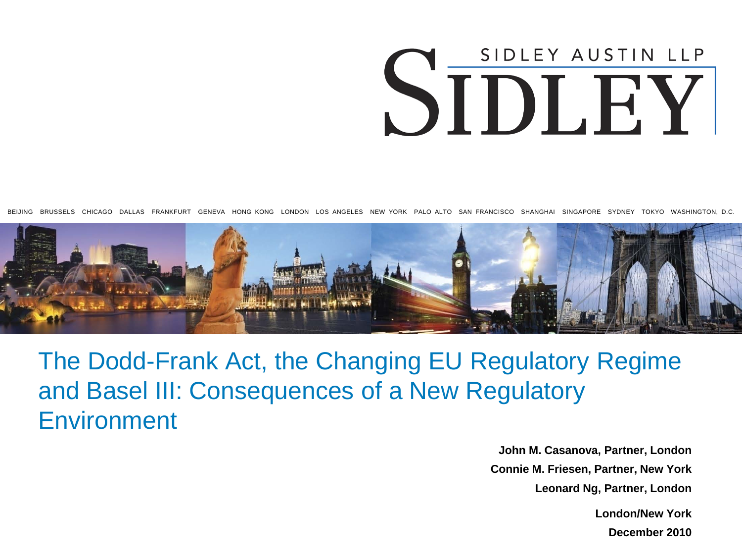# SIDLEY AUSTIN LLP SIDLEY

BEIJING BRUSSELS CHICAGO DALLAS FRANKFURT GENEVA HONG KONG LONDON LOS ANGELES NEW YORK PALO ALTO SAN FRANCISCO SHANGHAI SINGAPORE SYDNEY TOKYO WASHINGTON, D.C.



#### The Dodd-Frank Act, the Changing EU Regulatory Regime and Basel III: Consequences of a New Regulatory **Environment**

**John M. Casanova, Partner, London Connie M. Friesen, Partner, New York Leonard Ng, Partner, London**

**London/New York**

**December 2010**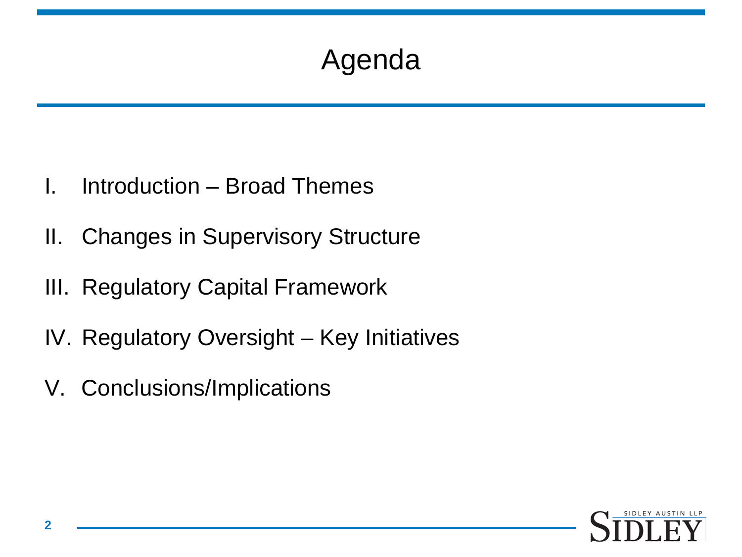# Agenda

- I. Introduction Broad Themes
- II. Changes in Supervisory Structure
- III. Regulatory Capital Framework
- IV. Regulatory Oversight Key Initiatives
- V. Conclusions/Implications

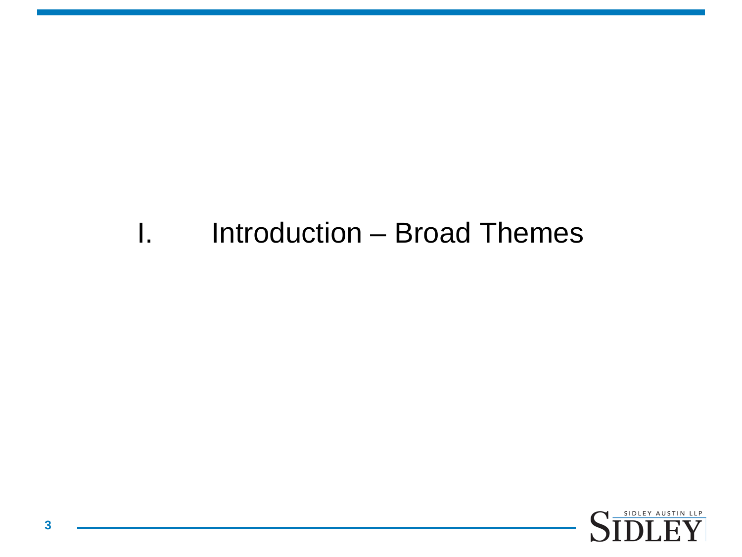#### I. Introduction – Broad Themes

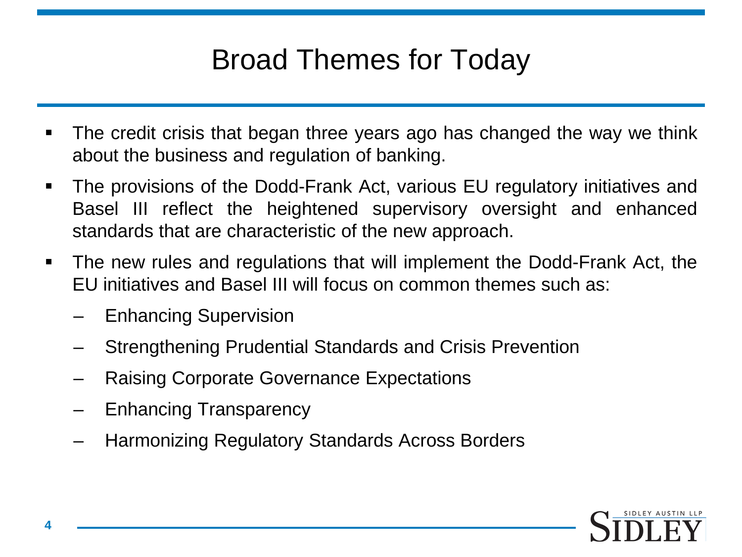### Broad Themes for Today

- The credit crisis that began three years ago has changed the way we think about the business and regulation of banking.
- The provisions of the Dodd-Frank Act, various EU regulatory initiatives and Basel III reflect the heightened supervisory oversight and enhanced standards that are characteristic of the new approach.
- The new rules and regulations that will implement the Dodd-Frank Act, the EU initiatives and Basel III will focus on common themes such as:
	- Enhancing Supervision
	- Strengthening Prudential Standards and Crisis Prevention
	- Raising Corporate Governance Expectations
	- Enhancing Transparency
	- Harmonizing Regulatory Standards Across Borders

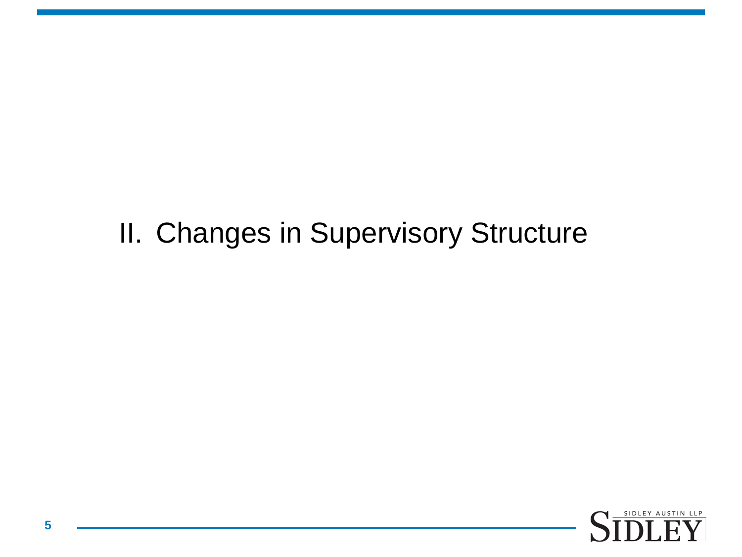#### II. Changes in Supervisory Structure

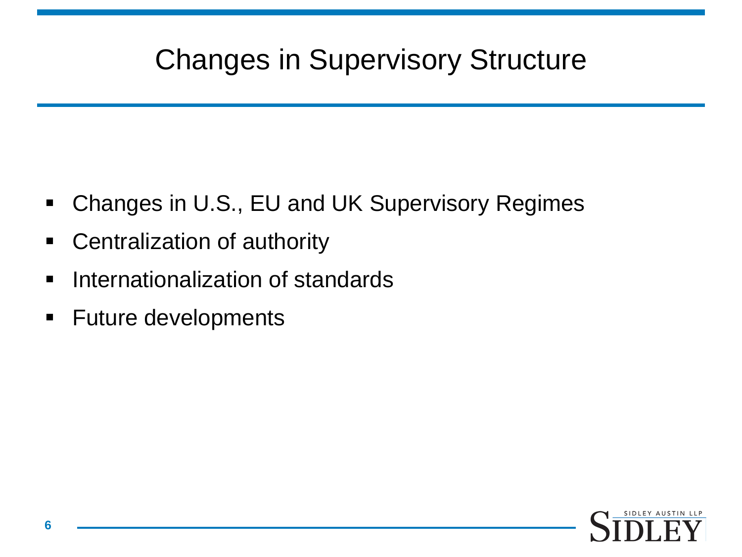#### Changes in Supervisory Structure

- Changes in U.S., EU and UK Supervisory Regimes
- **-** Centralization of authority
- **Internationalization of standards**
- **Future developments**

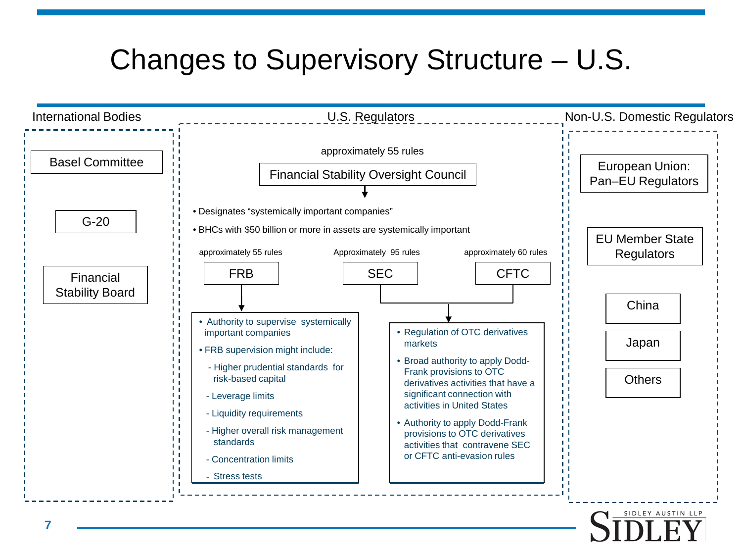#### Changes to Supervisory Structure – U.S.

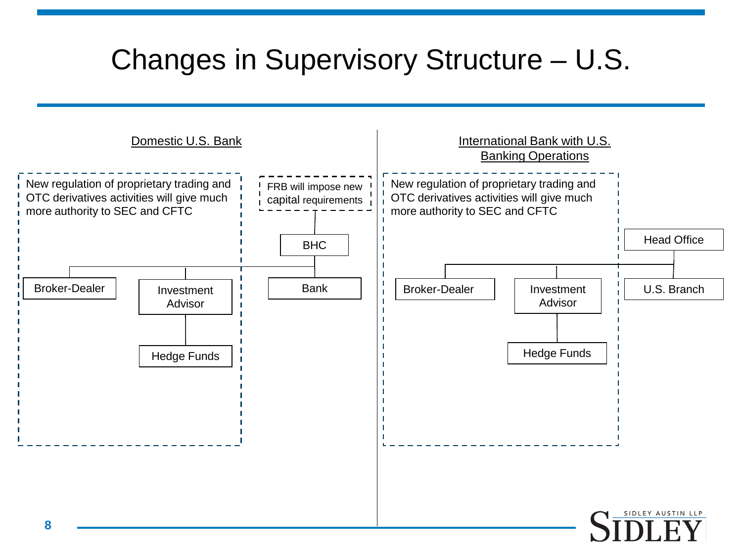#### Changes in Supervisory Structure – U.S.

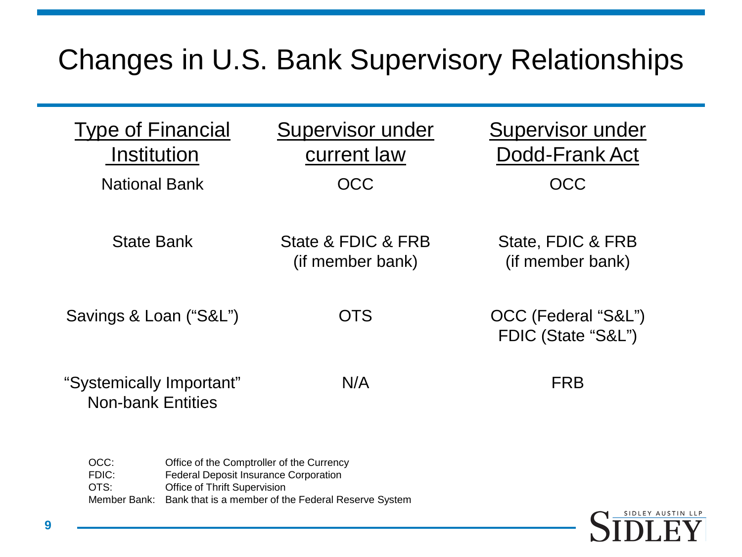#### Changes in U.S. Bank Supervisory Relationships

| <b>Type of Financial</b><br><b>Institution</b><br><b>National Bank</b> | Supervisor under<br>current law<br>OCC | Supervisor under<br>Dodd-Frank Act<br>OCC |
|------------------------------------------------------------------------|----------------------------------------|-------------------------------------------|
| <b>State Bank</b>                                                      | State & FDIC & FRB<br>(if member bank) | State, FDIC & FRB<br>(if member bank)     |
| Savings & Loan ("S&L")                                                 | <b>OTS</b>                             | OCC (Federal "S&L")<br>FDIC (State "S&L") |
| "Systemically Important"<br><b>Non-bank Entities</b>                   | N/A                                    | <b>FRB</b>                                |

| OCC:  | Office of the Comptroller of the Currency                        |
|-------|------------------------------------------------------------------|
| FDIC: | Federal Deposit Insurance Corporation                            |
| OTS:  | <b>Office of Thrift Supervision</b>                              |
|       | Member Bank: Bank that is a member of the Federal Reserve System |

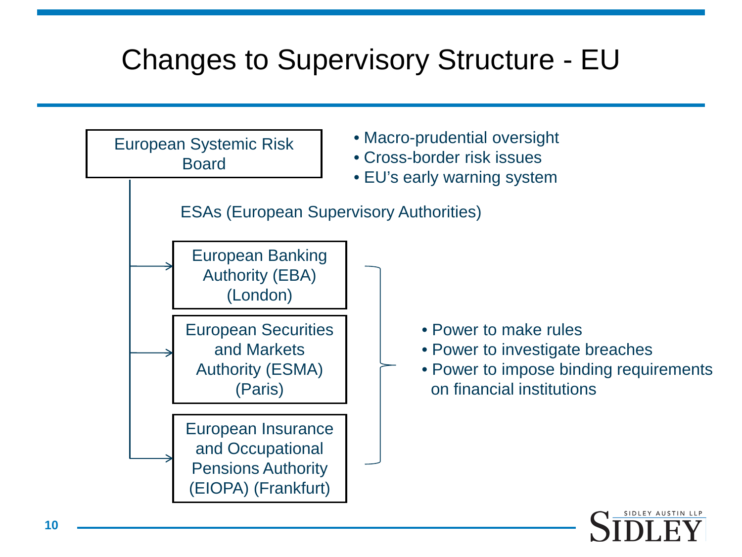#### Changes to Supervisory Structure - EU

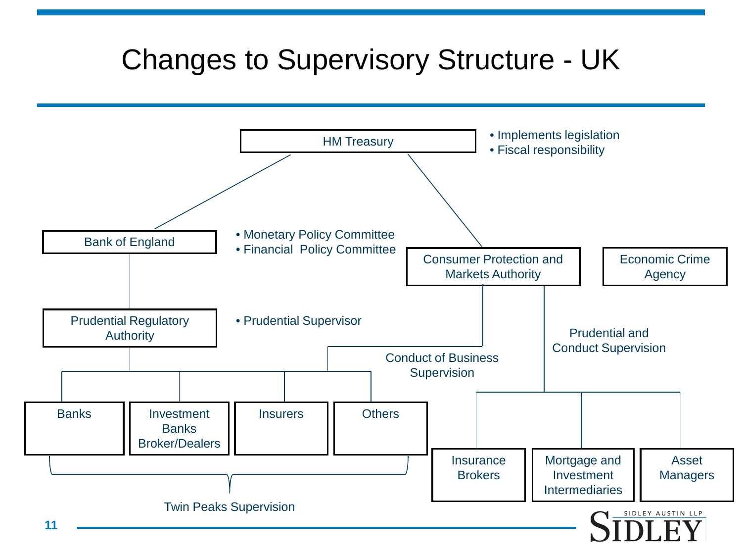#### Changes to Supervisory Structure - UK

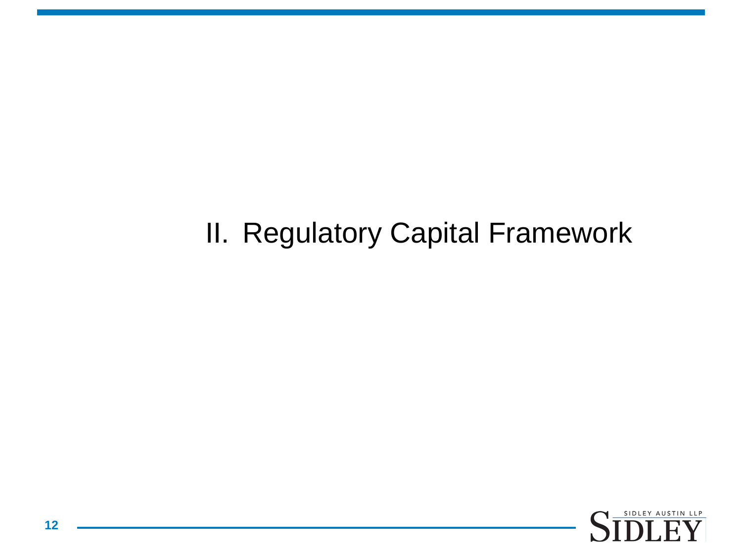#### II. Regulatory Capital Framework

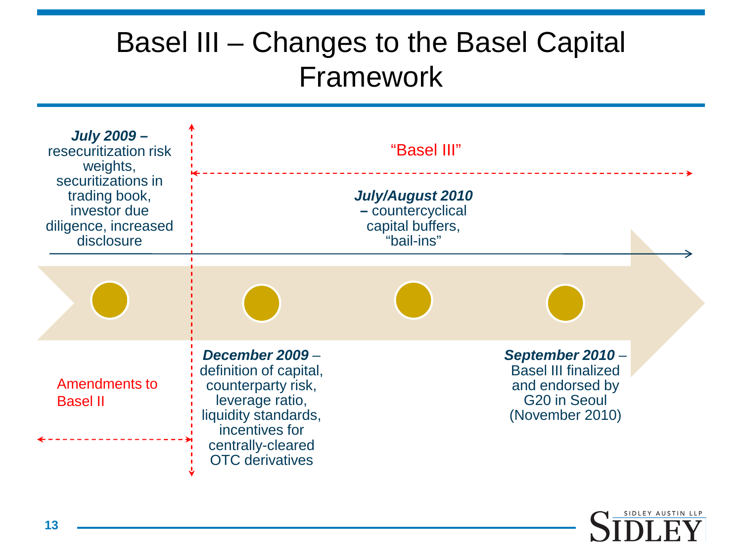#### Basel III – Changes to the Basel Capital Framework

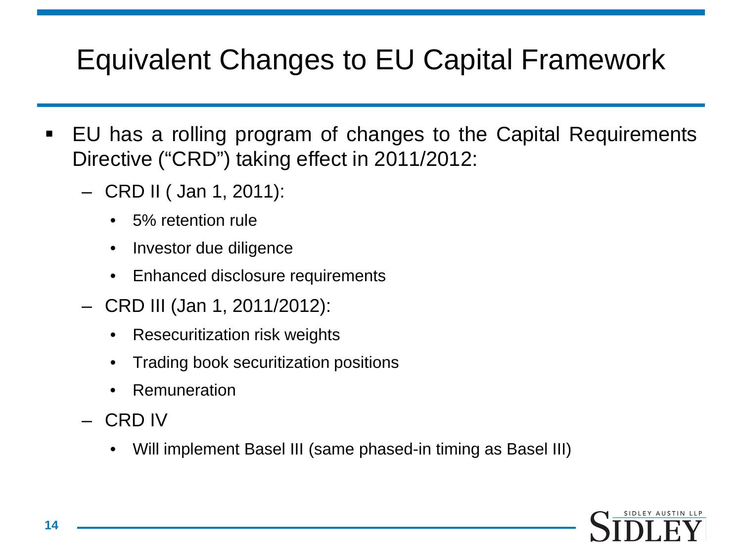#### Equivalent Changes to EU Capital Framework

- EU has a rolling program of changes to the Capital Requirements Directive ("CRD") taking effect in 2011/2012:
	- CRD II ( Jan 1, 2011):
		- 5% retention rule
		- Investor due diligence
		- Enhanced disclosure requirements
	- CRD III (Jan 1, 2011/2012):
		- Resecuritization risk weights
		- Trading book securitization positions
		- **Remuneration**
	- CRD IV
		- Will implement Basel III (same phased-in timing as Basel III)

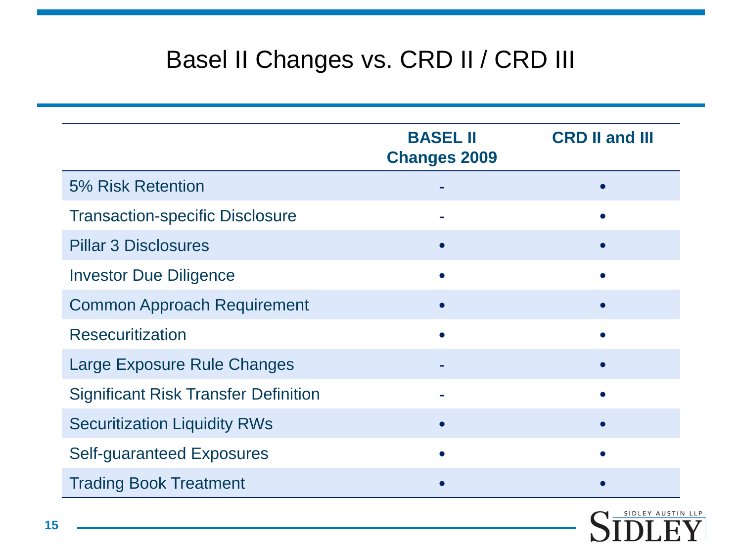#### Basel II Changes vs. CRD II / CRD III

|                                             | <b>BASEL II</b><br><b>Changes 2009</b> | <b>CRD II and III</b> |  |  |
|---------------------------------------------|----------------------------------------|-----------------------|--|--|
| 5% Risk Retention                           |                                        |                       |  |  |
| <b>Transaction-specific Disclosure</b>      |                                        |                       |  |  |
| <b>Pillar 3 Disclosures</b>                 |                                        |                       |  |  |
| <b>Investor Due Diligence</b>               |                                        |                       |  |  |
| <b>Common Approach Requirement</b>          |                                        |                       |  |  |
| <b>Resecuritization</b>                     |                                        |                       |  |  |
| Large Exposure Rule Changes                 |                                        |                       |  |  |
| <b>Significant Risk Transfer Definition</b> |                                        |                       |  |  |
| <b>Securitization Liquidity RWs</b>         |                                        |                       |  |  |
| <b>Self-guaranteed Exposures</b>            |                                        |                       |  |  |
| <b>Trading Book Treatment</b>               |                                        |                       |  |  |

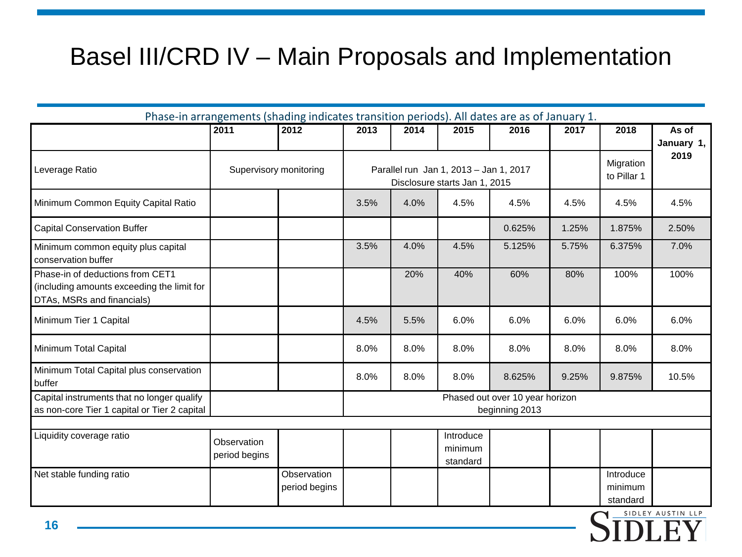#### Basel III/CRD IV – Main Proposals and Implementation

| Phase-in arrangements (shading indicates transition periods). All dates are as of January 1.                 |                              |                              |                                                                         |      |                                  |        |                          |                                  |       |
|--------------------------------------------------------------------------------------------------------------|------------------------------|------------------------------|-------------------------------------------------------------------------|------|----------------------------------|--------|--------------------------|----------------------------------|-------|
|                                                                                                              | 2011                         | 2012                         | 2013                                                                    | 2014 | 2015                             | 2016   | 2017                     | 2018                             | As of |
| Leverage Ratio                                                                                               | Supervisory monitoring       |                              | Parallel run Jan 1, 2013 - Jan 1, 2017<br>Disclosure starts Jan 1, 2015 |      |                                  |        | Migration<br>to Pillar 1 | January 1,<br>2019               |       |
| Minimum Common Equity Capital Ratio                                                                          |                              |                              | 3.5%                                                                    | 4.0% | 4.5%                             | 4.5%   | 4.5%                     | 4.5%                             | 4.5%  |
| <b>Capital Conservation Buffer</b>                                                                           |                              |                              |                                                                         |      |                                  | 0.625% | 1.25%                    | 1.875%                           | 2.50% |
| Minimum common equity plus capital<br>conservation buffer                                                    |                              |                              | 3.5%                                                                    | 4.0% | 4.5%                             | 5.125% | 5.75%                    | 6.375%                           | 7.0%  |
| Phase-in of deductions from CET1<br>(including amounts exceeding the limit for<br>DTAs, MSRs and financials) |                              |                              |                                                                         | 20%  | 40%                              | 60%    | 80%                      | 100%                             | 100%  |
| Minimum Tier 1 Capital                                                                                       |                              |                              | 4.5%                                                                    | 5.5% | 6.0%                             | 6.0%   | 6.0%                     | 6.0%                             | 6.0%  |
| Minimum Total Capital                                                                                        |                              |                              | 8.0%                                                                    | 8.0% | 8.0%                             | 8.0%   | 8.0%                     | 8.0%                             | 8.0%  |
| Minimum Total Capital plus conservation<br>buffer                                                            |                              |                              | 8.0%                                                                    | 8.0% | 8.0%                             | 8.625% | 9.25%                    | 9.875%                           | 10.5% |
| Capital instruments that no longer qualify<br>as non-core Tier 1 capital or Tier 2 capital                   |                              |                              | Phased out over 10 year horizon<br>beginning 2013                       |      |                                  |        |                          |                                  |       |
| Liquidity coverage ratio                                                                                     | Observation<br>period begins |                              |                                                                         |      | Introduce<br>minimum<br>standard |        |                          |                                  |       |
| Net stable funding ratio                                                                                     |                              | Observation<br>period begins |                                                                         |      |                                  |        |                          | Introduce<br>minimum<br>standard |       |

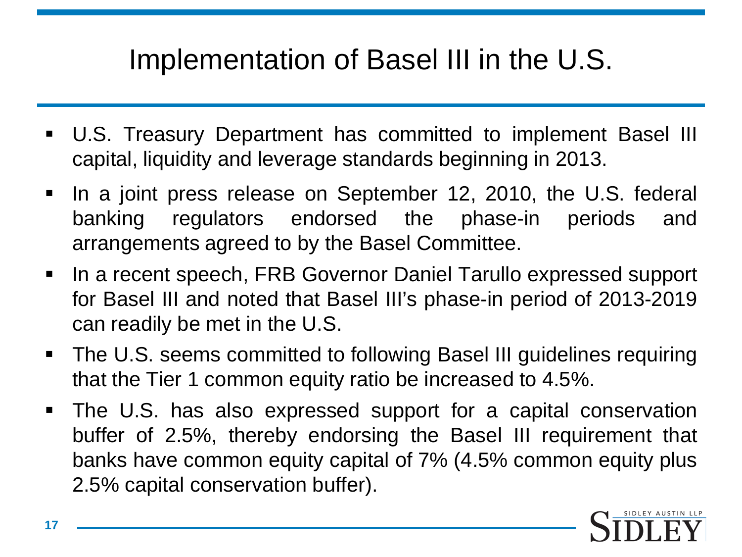#### Implementation of Basel III in the U.S.

- U.S. Treasury Department has committed to implement Basel III capital, liquidity and leverage standards beginning in 2013.
- In a joint press release on September 12, 2010, the U.S. federal banking regulators endorsed the phase-in periods and arrangements agreed to by the Basel Committee.
- In a recent speech, FRB Governor Daniel Tarullo expressed support for Basel III and noted that Basel III's phase-in period of 2013-2019 can readily be met in the U.S.
- The U.S. seems committed to following Basel III guidelines requiring that the Tier 1 common equity ratio be increased to 4.5%.
- The U.S. has also expressed support for a capital conservation buffer of 2.5%, thereby endorsing the Basel III requirement that banks have common equity capital of 7% (4.5% common equity plus 2.5% capital conservation buffer).

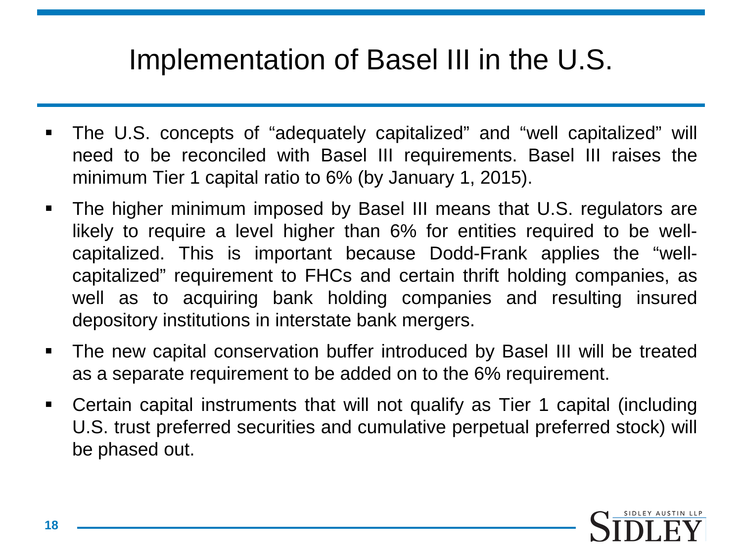#### Implementation of Basel III in the U.S.

- The U.S. concepts of "adequately capitalized" and "well capitalized" will need to be reconciled with Basel III requirements. Basel III raises the minimum Tier 1 capital ratio to 6% (by January 1, 2015).
- The higher minimum imposed by Basel III means that U.S. regulators are likely to require a level higher than 6% for entities required to be wellcapitalized. This is important because Dodd-Frank applies the "wellcapitalized" requirement to FHCs and certain thrift holding companies, as well as to acquiring bank holding companies and resulting insured depository institutions in interstate bank mergers.
- The new capital conservation buffer introduced by Basel III will be treated as a separate requirement to be added on to the 6% requirement.
- Certain capital instruments that will not qualify as Tier 1 capital (including U.S. trust preferred securities and cumulative perpetual preferred stock) will be phased out.

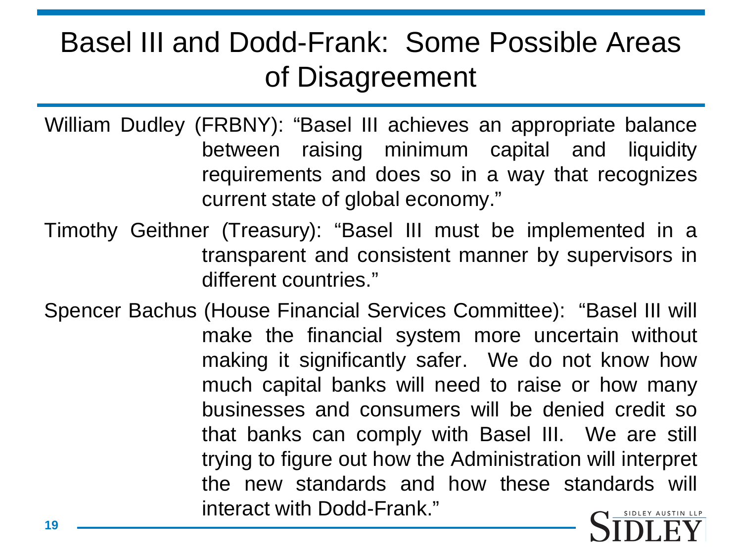#### Basel III and Dodd-Frank: Some Possible Areas of Disagreement

William Dudley (FRBNY): "Basel III achieves an appropriate balance between raising minimum capital and liquidity requirements and does so in a way that recognizes current state of global economy."

- Timothy Geithner (Treasury): "Basel III must be implemented in a transparent and consistent manner by supervisors in different countries."
- Spencer Bachus (House Financial Services Committee): "Basel III will make the financial system more uncertain without making it significantly safer. We do not know how much capital banks will need to raise or how many businesses and consumers will be denied credit so that banks can comply with Basel III. We are still trying to figure out how the Administration will interpret the new standards and how these standards will interact with Dodd-Frank."

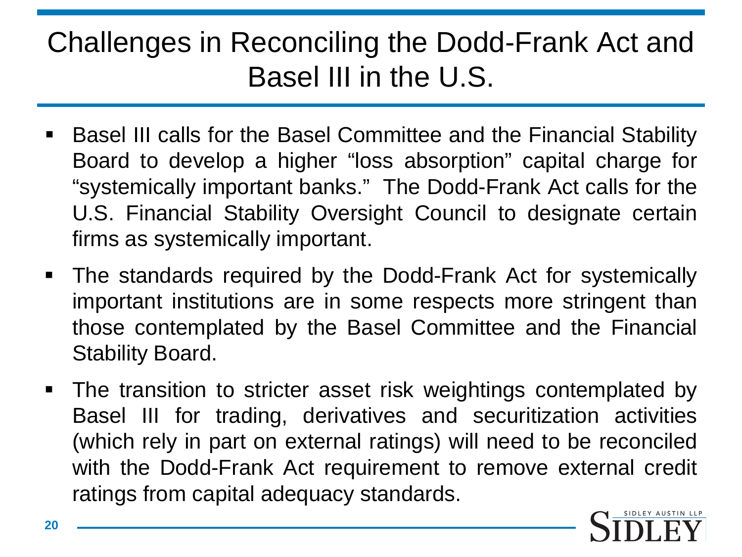#### Challenges in Reconciling the Dodd-Frank Act and Basel III in the U.S.

- Basel III calls for the Basel Committee and the Financial Stability Board to develop a higher "loss absorption" capital charge for "systemically important banks." The Dodd-Frank Act calls for the U.S. Financial Stability Oversight Council to designate certain firms as systemically important.
- The standards required by the Dodd-Frank Act for systemically important institutions are in some respects more stringent than those contemplated by the Basel Committee and the Financial Stability Board.
- The transition to stricter asset risk weightings contemplated by Basel III for trading, derivatives and securitization activities (which rely in part on external ratings) will need to be reconciled with the Dodd-Frank Act requirement to remove external credit ratings from capital adequacy standards.

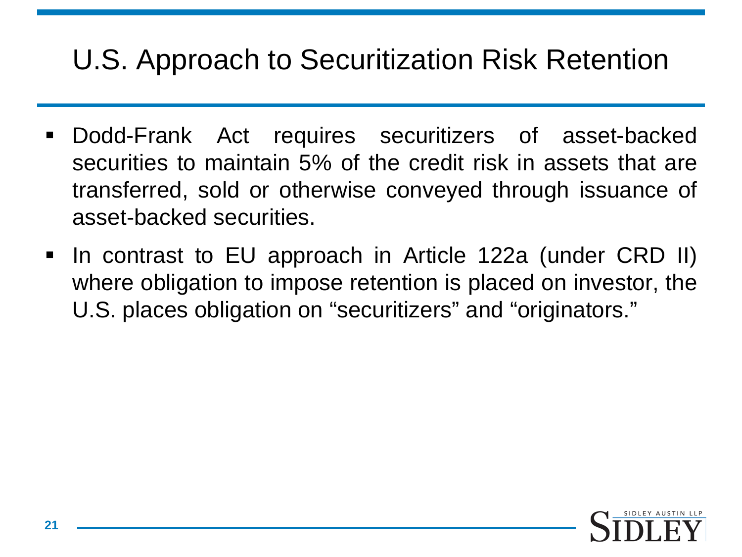#### U.S. Approach to Securitization Risk Retention

- Dodd-Frank Act requires securitizers of asset-backed securities to maintain 5% of the credit risk in assets that are transferred, sold or otherwise conveyed through issuance of asset-backed securities.
- In contrast to EU approach in Article 122a (under CRD II) where obligation to impose retention is placed on investor, the U.S. places obligation on "securitizers" and "originators."

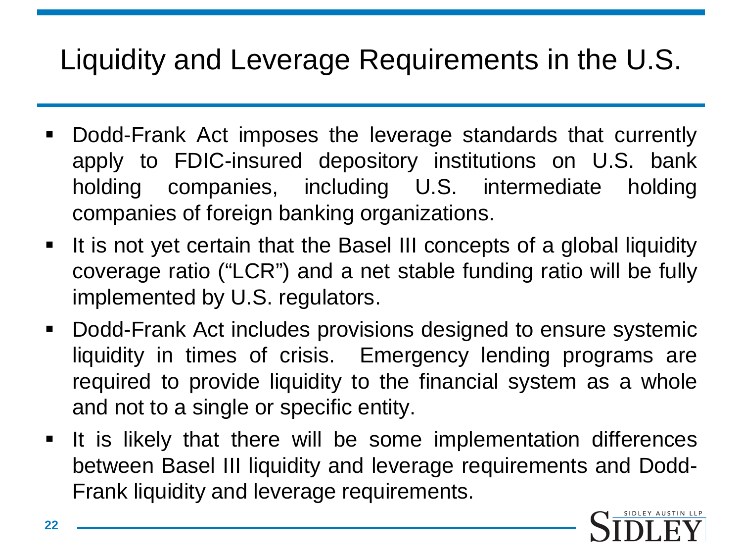# Liquidity and Leverage Requirements in the U.S.

- Dodd-Frank Act imposes the leverage standards that currently apply to FDIC-insured depository institutions on U.S. bank holding companies, including U.S. intermediate holding companies of foreign banking organizations.
- It is not yet certain that the Basel III concepts of a global liquidity coverage ratio ("LCR") and a net stable funding ratio will be fully implemented by U.S. regulators.
- Dodd-Frank Act includes provisions designed to ensure systemic liquidity in times of crisis. Emergency lending programs are required to provide liquidity to the financial system as a whole and not to a single or specific entity.
- **If is likely that there will be some implementation differences** between Basel III liquidity and leverage requirements and Dodd-Frank liquidity and leverage requirements.

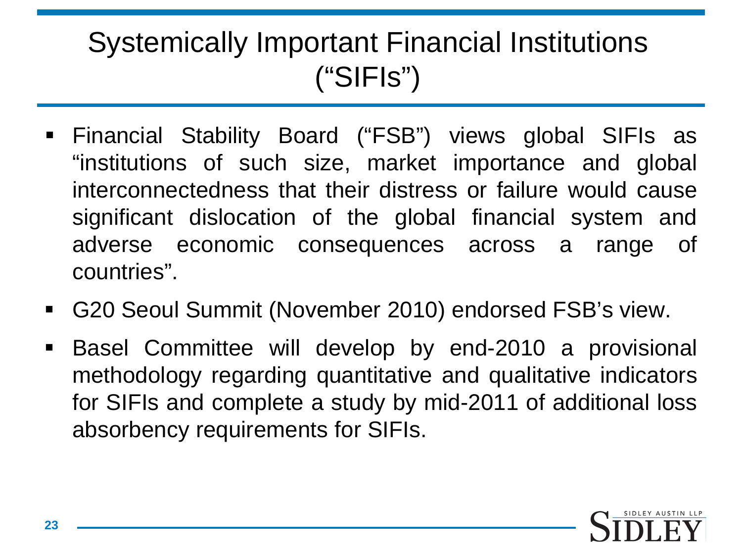#### Systemically Important Financial Institutions ("SIFIs")

- Financial Stability Board ("FSB") views global SIFIs as "institutions of such size, market importance and global interconnectedness that their distress or failure would cause significant dislocation of the global financial system and adverse economic consequences across a range of countries".
- G20 Seoul Summit (November 2010) endorsed FSB's view.
- Basel Committee will develop by end-2010 a provisional methodology regarding quantitative and qualitative indicators for SIFIs and complete a study by mid-2011 of additional loss absorbency requirements for SIFIs.

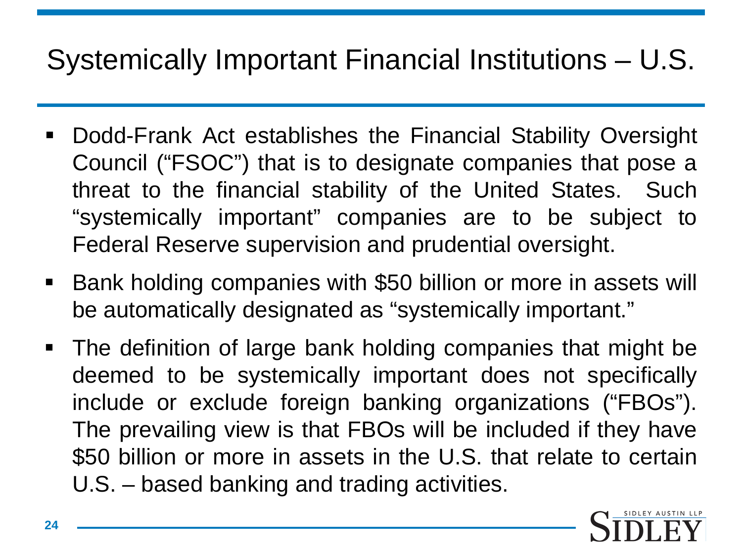### Systemically Important Financial Institutions – U.S.

- Dodd-Frank Act establishes the Financial Stability Oversight Council ("FSOC") that is to designate companies that pose a threat to the financial stability of the United States. Such "systemically important" companies are to be subject to Federal Reserve supervision and prudential oversight.
- Bank holding companies with \$50 billion or more in assets will be automatically designated as "systemically important."
- The definition of large bank holding companies that might be deemed to be systemically important does not specifically include or exclude foreign banking organizations ("FBOs"). The prevailing view is that FBOs will be included if they have \$50 billion or more in assets in the U.S. that relate to certain U.S. – based banking and trading activities.

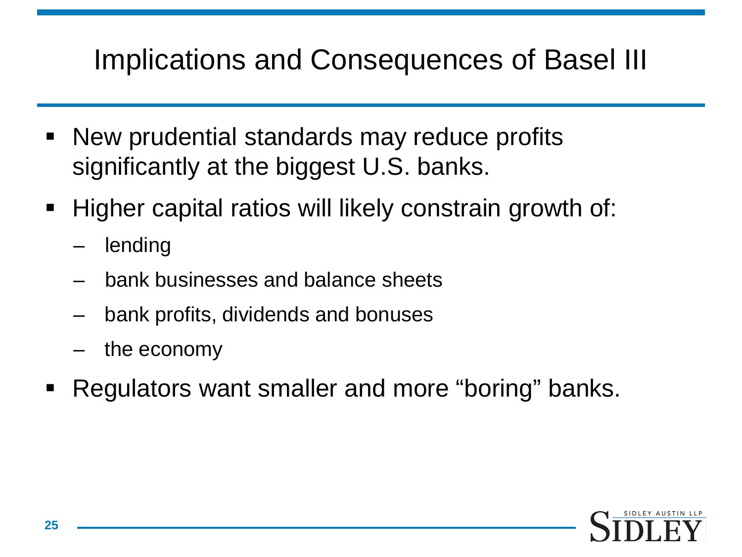## Implications and Consequences of Basel III

- New prudential standards may reduce profits significantly at the biggest U.S. banks.
- Higher capital ratios will likely constrain growth of:
	- **lending**
	- bank businesses and balance sheets
	- bank profits, dividends and bonuses
	- the economy
- Regulators want smaller and more "boring" banks.

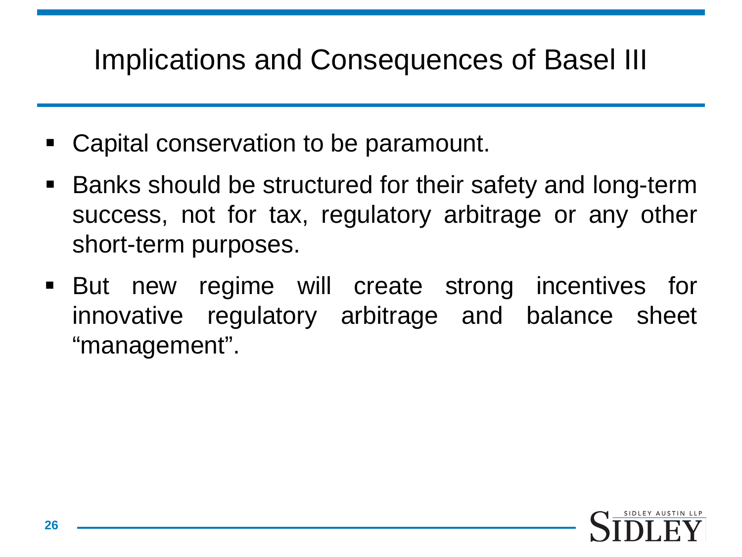### Implications and Consequences of Basel III

- Capital conservation to be paramount.
- Banks should be structured for their safety and long-term success, not for tax, regulatory arbitrage or any other short-term purposes.
- But new regime will create strong incentives for innovative regulatory arbitrage and balance sheet "management".

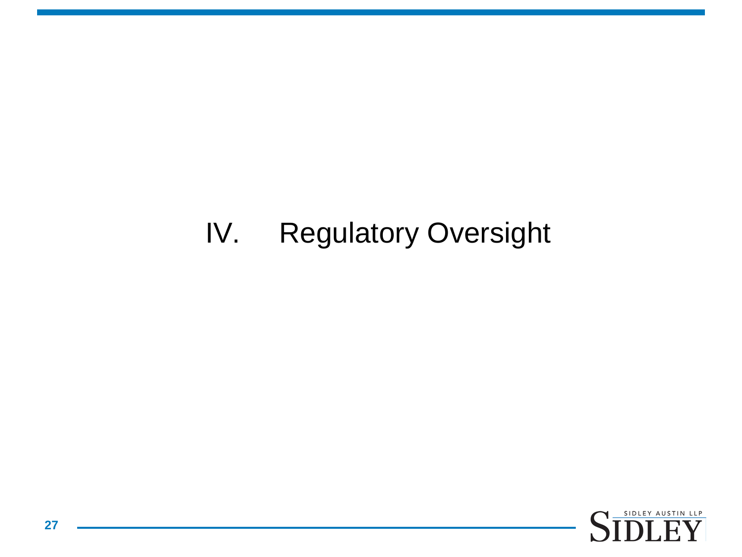### IV. Regulatory Oversight

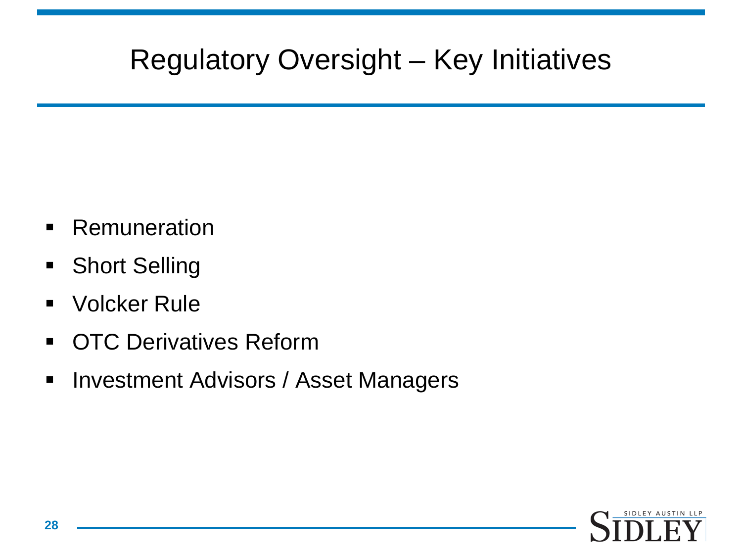### Regulatory Oversight – Key Initiatives

- **Remuneration**
- **Short Selling**
- Volcker Rule
- **OTC Derivatives Reform**
- **Investment Advisors / Asset Managers**

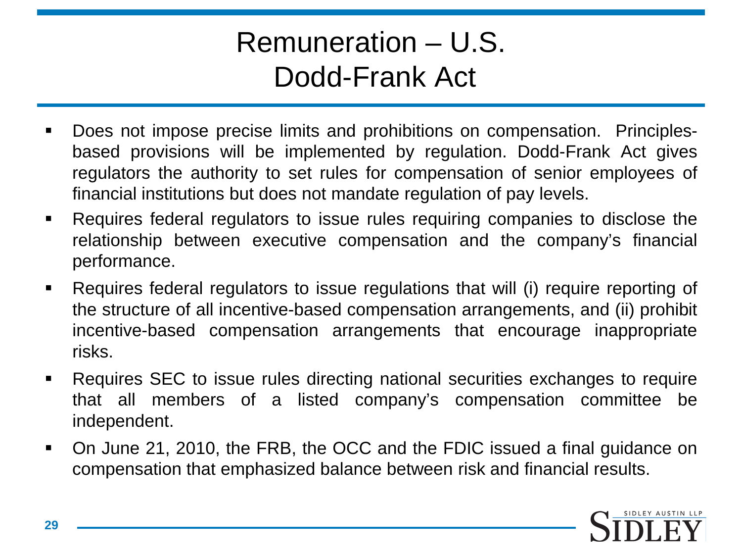#### Remuneration – U.S. Dodd-Frank Act

- Does not impose precise limits and prohibitions on compensation. Principlesbased provisions will be implemented by regulation. Dodd-Frank Act gives regulators the authority to set rules for compensation of senior employees of financial institutions but does not mandate regulation of pay levels.
- Requires federal regulators to issue rules requiring companies to disclose the relationship between executive compensation and the company's financial performance.
- Requires federal regulators to issue regulations that will (i) require reporting of the structure of all incentive-based compensation arrangements, and (ii) prohibit incentive-based compensation arrangements that encourage inappropriate risks.
- Requires SEC to issue rules directing national securities exchanges to require that all members of a listed company's compensation committee be independent.
- On June 21, 2010, the FRB, the OCC and the FDIC issued a final guidance on compensation that emphasized balance between risk and financial results.

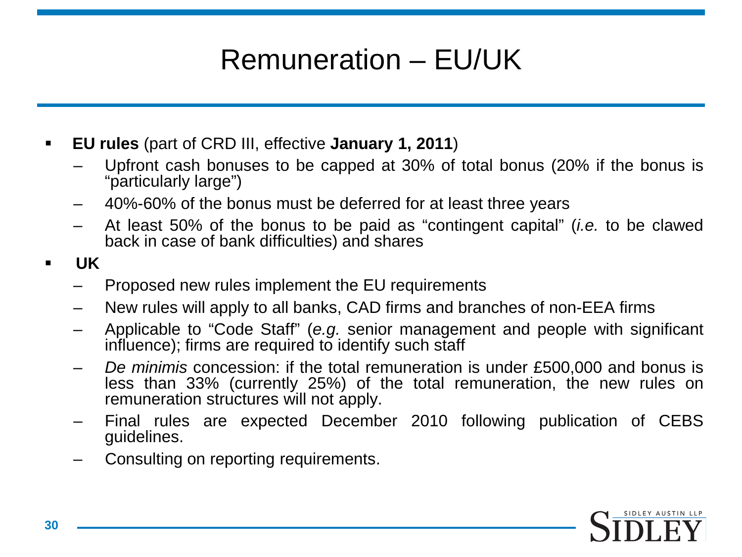# Remuneration – EU/UK

- **EU rules** (part of CRD III, effective **January 1, 2011**)
	- Upfront cash bonuses to be capped at 30% of total bonus (20% if the bonus is "particularly large")
	- 40%-60% of the bonus must be deferred for at least three years
	- At least 50% of the bonus to be paid as "contingent capital" (*i.e.* to be clawed back in case of bank difficulties) and shares
- **UK**
	- Proposed new rules implement the EU requirements
	- New rules will apply to all banks, CAD firms and branches of non-EEA firms
	- Applicable to "Code Staff" (*e.g.* senior management and people with significant influence); firms are required to identify such staff
	- *De minimis* concession: if the total remuneration is under £500,000 and bonus is less than 33% (currently 25%) of the total remuneration, the new rules on remuneration structures will not apply.
	- Final rules are expected December 2010 following publication of CEBS guidelines.
	- Consulting on reporting requirements.

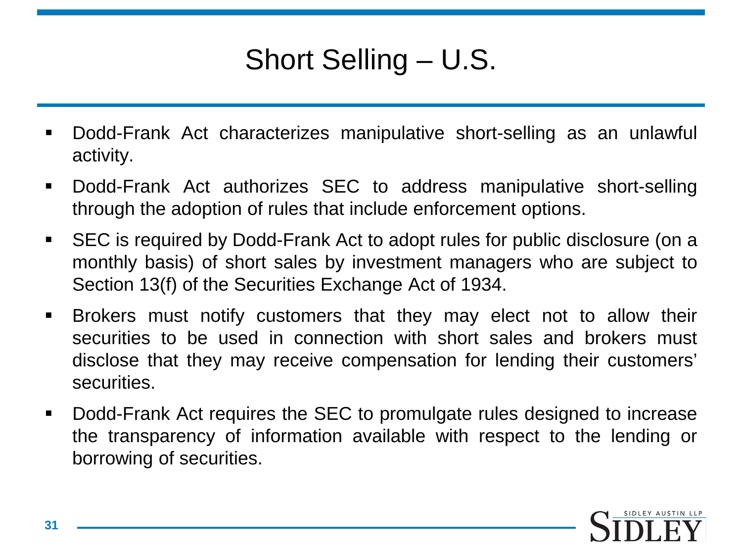# Short Selling – U.S.

- Dodd-Frank Act characterizes manipulative short-selling as an unlawful activity.
- Dodd-Frank Act authorizes SEC to address manipulative short-selling through the adoption of rules that include enforcement options.
- SEC is required by Dodd-Frank Act to adopt rules for public disclosure (on a monthly basis) of short sales by investment managers who are subject to Section 13(f) of the Securities Exchange Act of 1934.
- Brokers must notify customers that they may elect not to allow their securities to be used in connection with short sales and brokers must disclose that they may receive compensation for lending their customers' securities.
- Dodd-Frank Act requires the SEC to promulgate rules designed to increase the transparency of information available with respect to the lending or borrowing of securities.

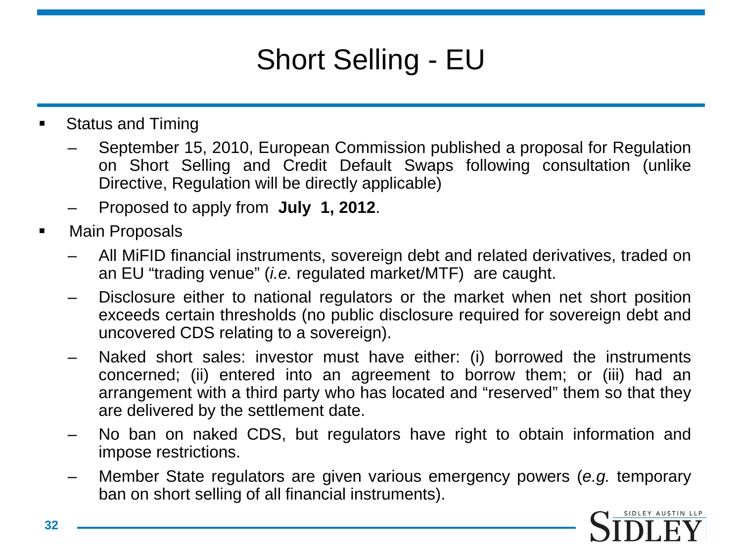# Short Selling - EU

- Status and Timing
	- September 15, 2010, European Commission published a proposal for Regulation on Short Selling and Credit Default Swaps following consultation (unlike Directive, Regulation will be directly applicable)
	- Proposed to apply from **July 1, 2012**.
- **Main Proposals** 
	- All MiFID financial instruments, sovereign debt and related derivatives, traded on an EU "trading venue" (*i.e.* regulated market/MTF) are caught.
	- Disclosure either to national regulators or the market when net short position exceeds certain thresholds (no public disclosure required for sovereign debt and uncovered CDS relating to a sovereign).
	- Naked short sales: investor must have either: (i) borrowed the instruments concerned; (ii) entered into an agreement to borrow them; or (iii) had an arrangement with a third party who has located and "reserved" them so that they are delivered by the settlement date.
	- No ban on naked CDS, but regulators have right to obtain information and impose restrictions.
	- Member State regulators are given various emergency powers (*e.g.* temporary ban on short selling of all financial instruments).

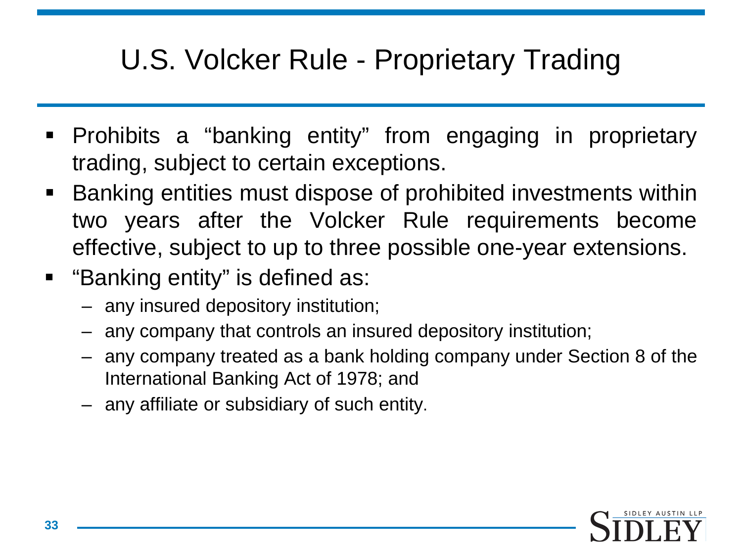### U.S. Volcker Rule - Proprietary Trading

- Prohibits a "banking entity" from engaging in proprietary trading, subject to certain exceptions.
- Banking entities must dispose of prohibited investments within two years after the Volcker Rule requirements become effective, subject to up to three possible one-year extensions.
- "Banking entity" is defined as:
	- any insured depository institution;
	- any company that controls an insured depository institution;
	- any company treated as a bank holding company under Section 8 of the International Banking Act of 1978; and
	- any affiliate or subsidiary of such entity.

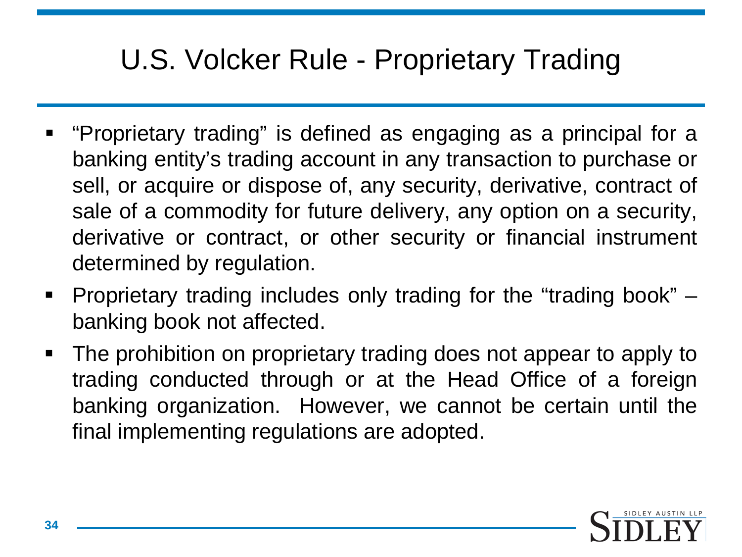### U.S. Volcker Rule - Proprietary Trading

- "Proprietary trading" is defined as engaging as a principal for a banking entity's trading account in any transaction to purchase or sell, or acquire or dispose of, any security, derivative, contract of sale of a commodity for future delivery, any option on a security, derivative or contract, or other security or financial instrument determined by regulation.
- Proprietary trading includes only trading for the "trading book" banking book not affected.
- The prohibition on proprietary trading does not appear to apply to trading conducted through or at the Head Office of a foreign banking organization. However, we cannot be certain until the final implementing regulations are adopted.

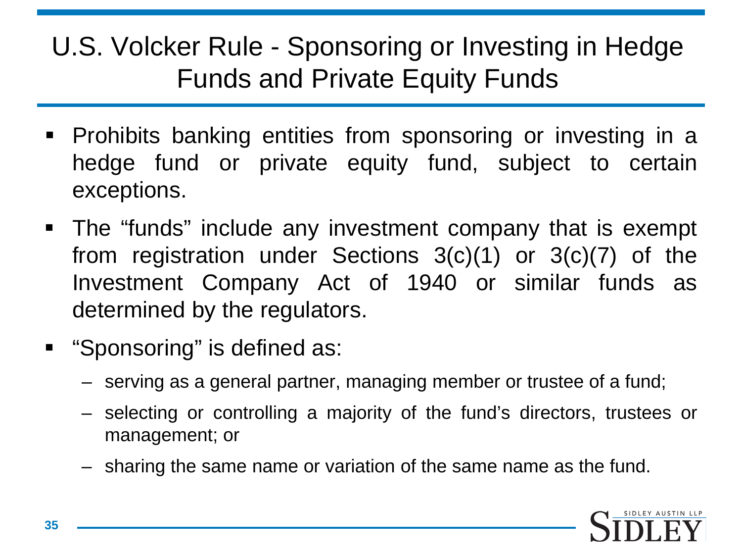U.S. Volcker Rule - Sponsoring or Investing in Hedge Funds and Private Equity Funds

- **Prohibits banking entities from sponsoring or investing in a** hedge fund or private equity fund, subject to certain exceptions.
- The "funds" include any investment company that is exempt from registration under Sections 3(c)(1) or 3(c)(7) of the Investment Company Act of 1940 or similar funds as determined by the regulators.
- **E** "Sponsoring" is defined as:
	- serving as a general partner, managing member or trustee of a fund;
	- selecting or controlling a majority of the fund's directors, trustees or management; or
	- sharing the same name or variation of the same name as the fund.

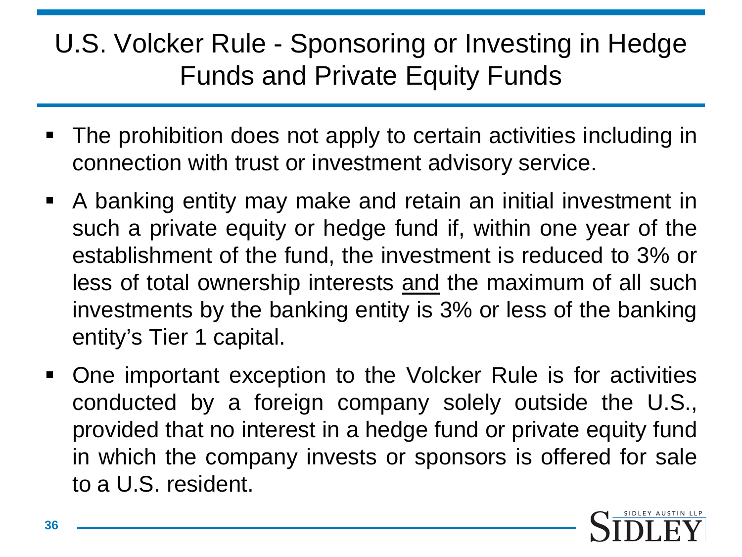#### U.S. Volcker Rule - Sponsoring or Investing in Hedge Funds and Private Equity Funds

- The prohibition does not apply to certain activities including in connection with trust or investment advisory service.
- A banking entity may make and retain an initial investment in such a private equity or hedge fund if, within one year of the establishment of the fund, the investment is reduced to 3% or less of total ownership interests and the maximum of all such investments by the banking entity is 3% or less of the banking entity's Tier 1 capital.
- One important exception to the Volcker Rule is for activities conducted by a foreign company solely outside the U.S., provided that no interest in a hedge fund or private equity fund in which the company invests or sponsors is offered for sale to a U.S. resident.

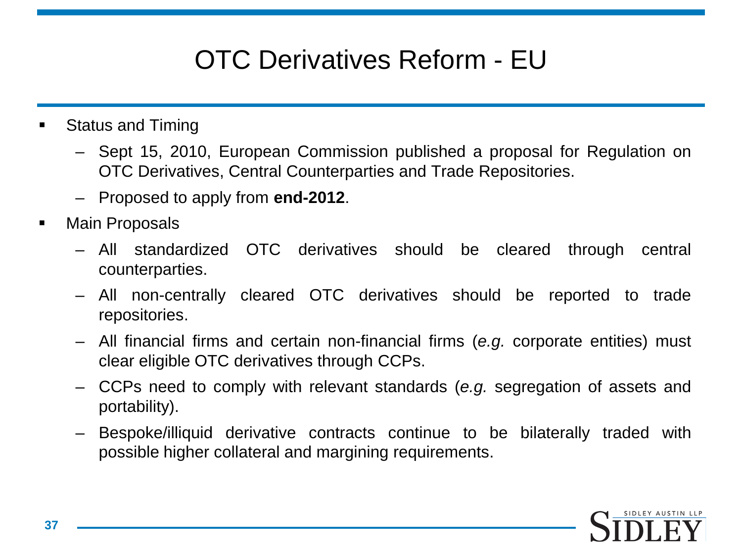#### OTC Derivatives Reform - EU

- Status and Timing
	- Sept 15, 2010, European Commission published a proposal for Regulation on OTC Derivatives, Central Counterparties and Trade Repositories.
	- Proposed to apply from **end-2012**.
- Main Proposals
	- All standardized OTC derivatives should be cleared through central counterparties.
	- All non-centrally cleared OTC derivatives should be reported to trade repositories.
	- All financial firms and certain non-financial firms (*e.g.* corporate entities) must clear eligible OTC derivatives through CCPs.
	- CCPs need to comply with relevant standards (*e.g.* segregation of assets and portability).
	- Bespoke/illiquid derivative contracts continue to be bilaterally traded with possible higher collateral and margining requirements.

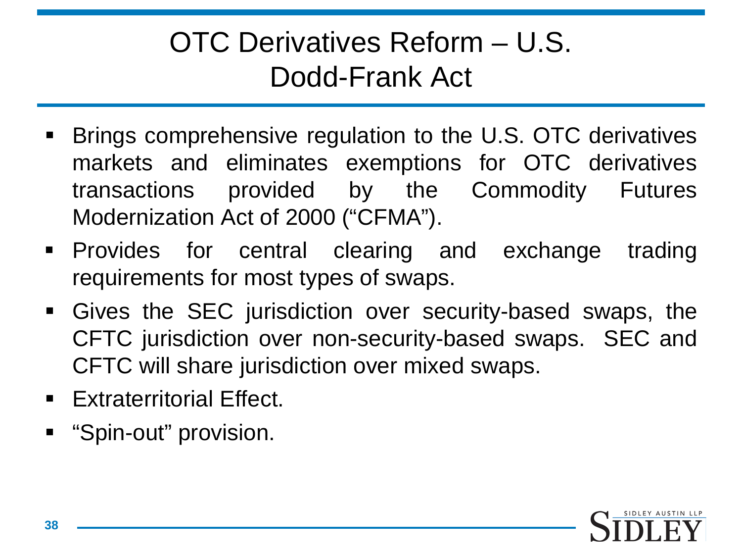### OTC Derivatives Reform – U.S. Dodd-Frank Act

- Brings comprehensive regulation to the U.S. OTC derivatives markets and eliminates exemptions for OTC derivatives transactions provided by the Commodity Futures Modernization Act of 2000 ("CFMA").
- **Provides for central clearing and exchange trading** requirements for most types of swaps.
- Gives the SEC jurisdiction over security-based swaps, the CFTC jurisdiction over non-security-based swaps. SEC and CFTC will share jurisdiction over mixed swaps.
- **Extraterritorial Effect.**
- **E** "Spin-out" provision.

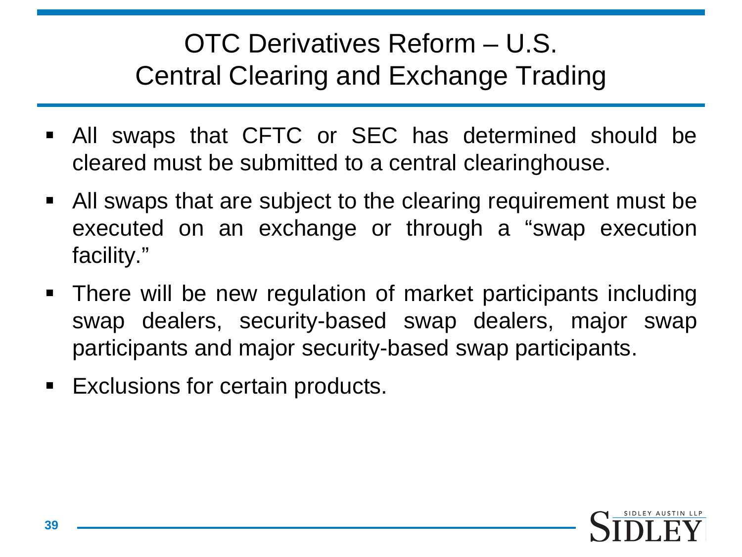#### OTC Derivatives Reform – U.S. Central Clearing and Exchange Trading

- All swaps that CFTC or SEC has determined should be cleared must be submitted to a central clearinghouse.
- All swaps that are subject to the clearing requirement must be executed on an exchange or through a "swap execution facility."
- There will be new regulation of market participants including swap dealers, security-based swap dealers, major swap participants and major security-based swap participants.
- **Exclusions for certain products.**

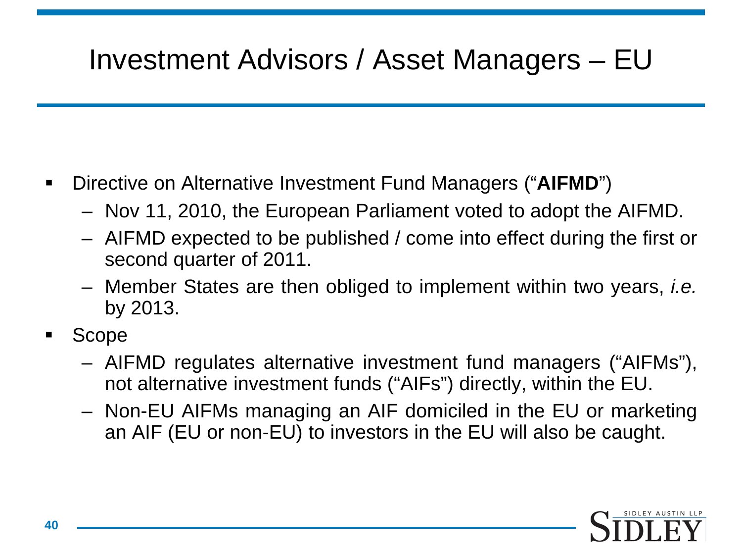# Investment Advisors / Asset Managers – EU

- Directive on Alternative Investment Fund Managers ("**AIFMD**")
	- Nov 11, 2010, the European Parliament voted to adopt the AIFMD.
	- AIFMD expected to be published / come into effect during the first or second quarter of 2011.
	- Member States are then obliged to implement within two years, *i.e.* by 2013.
- Scope
	- AIFMD regulates alternative investment fund managers ("AIFMs"), not alternative investment funds ("AIFs") directly, within the EU.
	- Non-EU AIFMs managing an AIF domiciled in the EU or marketing an AIF (EU or non-EU) to investors in the EU will also be caught.

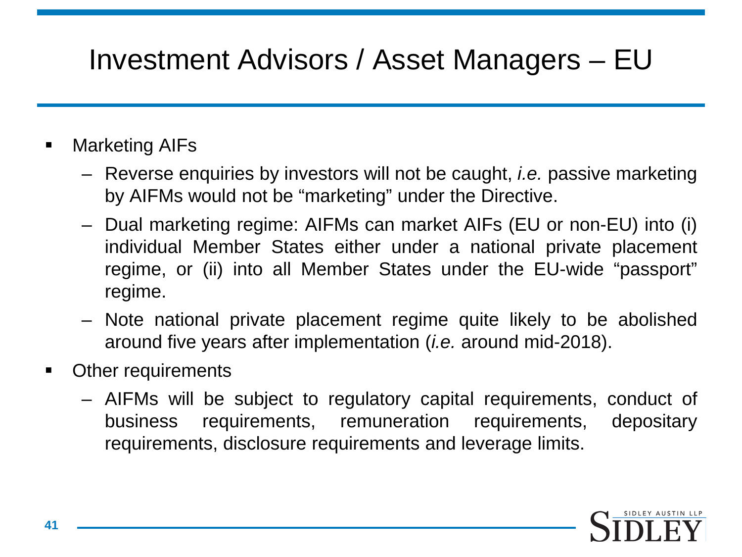### Investment Advisors / Asset Managers – EU

#### Marketing AIFs

- Reverse enquiries by investors will not be caught, *i.e.* passive marketing by AIFMs would not be "marketing" under the Directive.
- Dual marketing regime: AIFMs can market AIFs (EU or non-EU) into (i) individual Member States either under a national private placement regime, or (ii) into all Member States under the EU-wide "passport" regime.
- Note national private placement regime quite likely to be abolished around five years after implementation (*i.e.* around mid-2018).
- Other requirements
	- AIFMs will be subject to regulatory capital requirements, conduct of business requirements, remuneration requirements, depositary requirements, disclosure requirements and leverage limits.

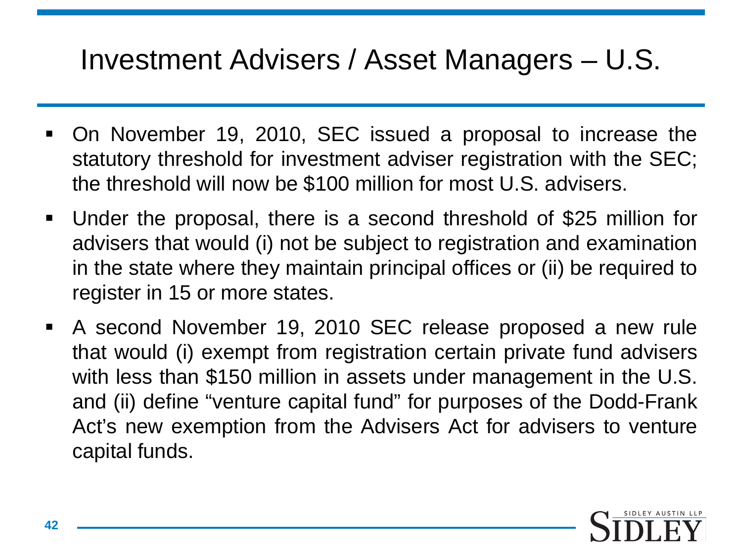#### Investment Advisers / Asset Managers – U.S.

- On November 19, 2010, SEC issued a proposal to increase the statutory threshold for investment adviser registration with the SEC; the threshold will now be \$100 million for most U.S. advisers.
- Under the proposal, there is a second threshold of \$25 million for advisers that would (i) not be subject to registration and examination in the state where they maintain principal offices or (ii) be required to register in 15 or more states.
- A second November 19, 2010 SEC release proposed a new rule that would (i) exempt from registration certain private fund advisers with less than \$150 million in assets under management in the U.S. and (ii) define "venture capital fund" for purposes of the Dodd-Frank Act's new exemption from the Advisers Act for advisers to venture capital funds.

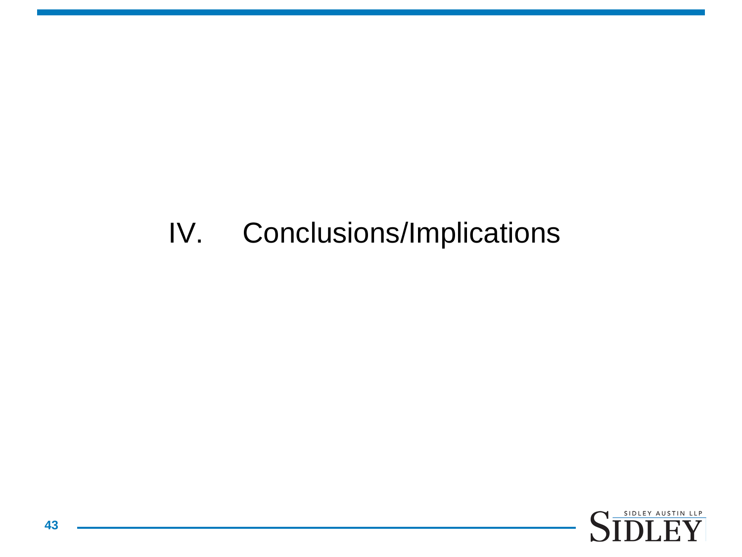#### IV. Conclusions/Implications

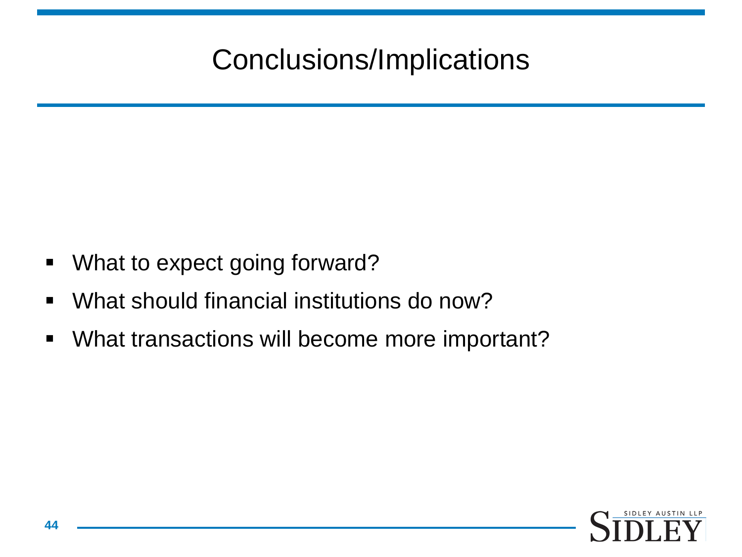# Conclusions/Implications

- **What to expect going forward?**
- What should financial institutions do now?
- What transactions will become more important?

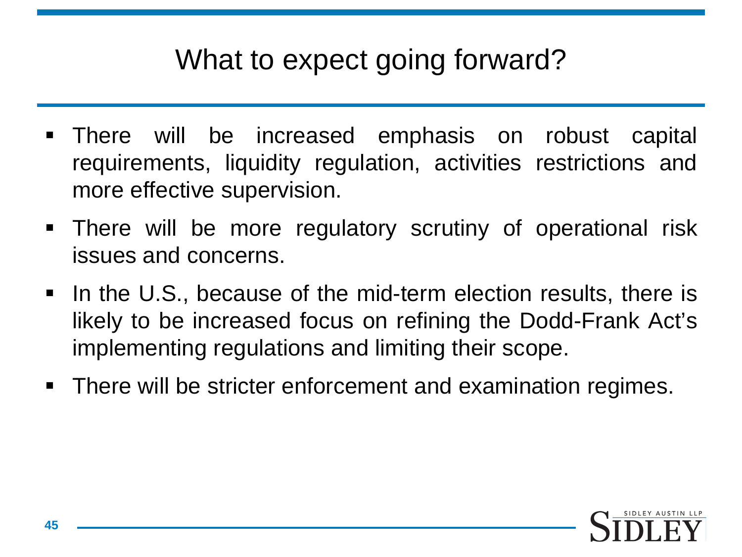#### What to expect going forward?

- There will be increased emphasis on robust capital requirements, liquidity regulation, activities restrictions and more effective supervision.
- There will be more regulatory scrutiny of operational risk issues and concerns.
- In the U.S., because of the mid-term election results, there is likely to be increased focus on refining the Dodd-Frank Act's implementing regulations and limiting their scope.
- There will be stricter enforcement and examination regimes.

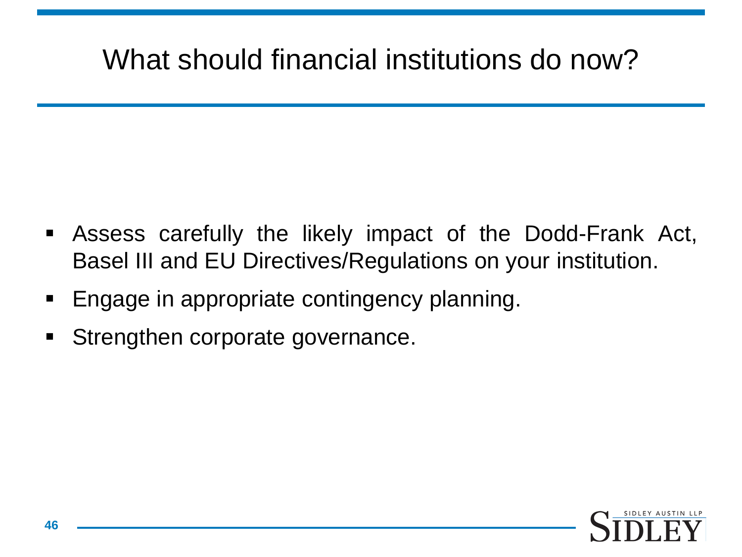## What should financial institutions do now?

- Assess carefully the likely impact of the Dodd-Frank Act, Basel III and EU Directives/Regulations on your institution.
- Engage in appropriate contingency planning.
- **Strengthen corporate governance.**

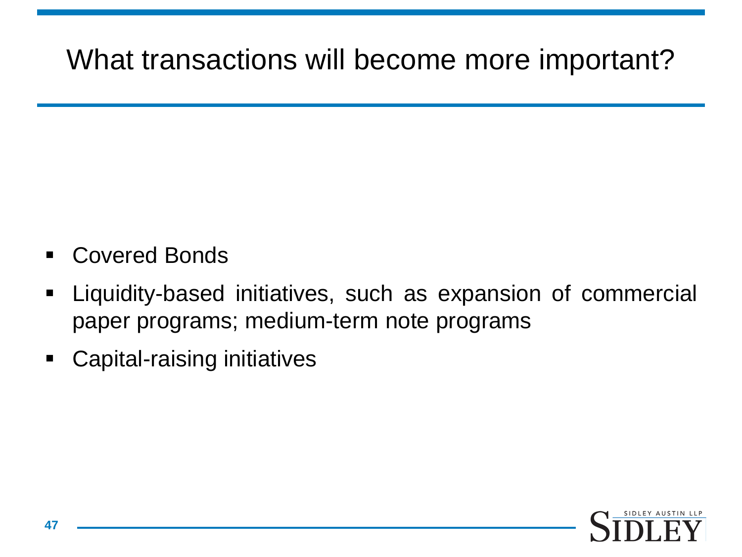#### What transactions will become more important?

- Covered Bonds
- Liquidity-based initiatives, such as expansion of commercial paper programs; medium-term note programs
- Capital-raising initiatives

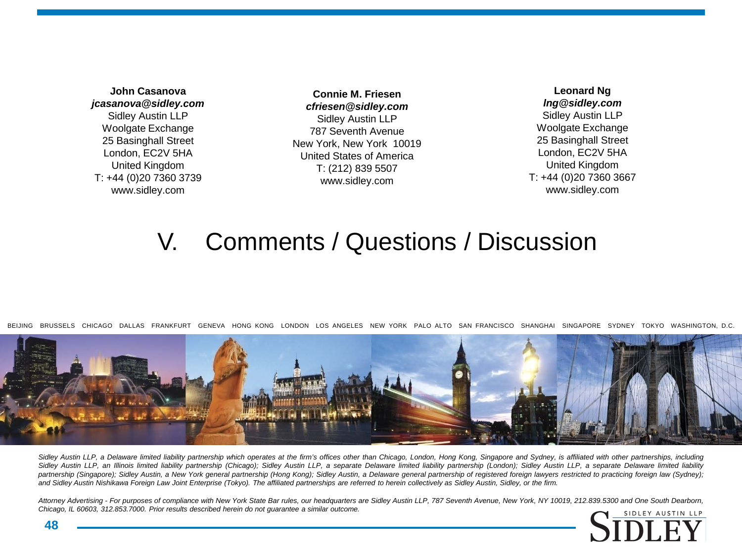**John Casanova** *jcasanova@sidley.com* Sidley Austin LLP Woolgate Exchange 25 Basinghall Street London, EC2V 5HA United Kingdom T: +44 (0)20 7360 3739 www.sidley.com

**Connie M. Friesen** *cfriesen@sidley.com* Sidley Austin LLP 787 Seventh Avenue New York, New York 10019 United States of America T: (212) 839 5507 www.sidley.com

**Leonard Ng** *lng@sidley.com* Sidley Austin LLP Woolgate Exchange 25 Basinghall Street London, EC2V 5HA United Kingdom T: +44 (0)20 7360 3667 www.sidley.com

#### V. Comments / Questions / Discussion

BEIJING BRUSSELS CHICAGO DALLAS FRANKFURT GENEVA HONG KONG LONDON LOS ANGELES NEW YORK PALO ALTO SAN FRANCISCO SHANGHAI SINGAPORE SYDNEY TOKYO WASHINGTON, D.C.



Sidley Austin LLP, a Delaware limited liability partnership which operates at the firm's offices other than Chicago, London, Hong Kong, Singapore and Sydney, is affiliated with other partnerships, including Sidley Austin LLP, an Illinois limited liability partnership (Chicago); Sidley Austin LLP, a separate Delaware limited liability partnership (London); Sidley Austin LLP, a separate Delaware limited liability partnership (Singapore); Sidley Austin, a New York general partnership (Hong Kong); Sidley Austin, a Delaware general partnership of registered foreign lawyers restricted to practicing foreign law (Sydney); and Sidley Austin Nishikawa Foreign Law Joint Enterprise (Tokyo). The affiliated partnerships are referred to herein collectively as Sidley Austin, Sidley, or the firm.

Attorney Advertising - For purposes of compliance with New York State Bar rules, our headquarters are Sidley Austin LLP, 787 Seventh Avenue, New York, NY 10019, 212.839.5300 and One South Dearborn, *Chicago, IL 60603, 312.853.7000. Prior results described herein do not guarantee a similar outcome.*



**48**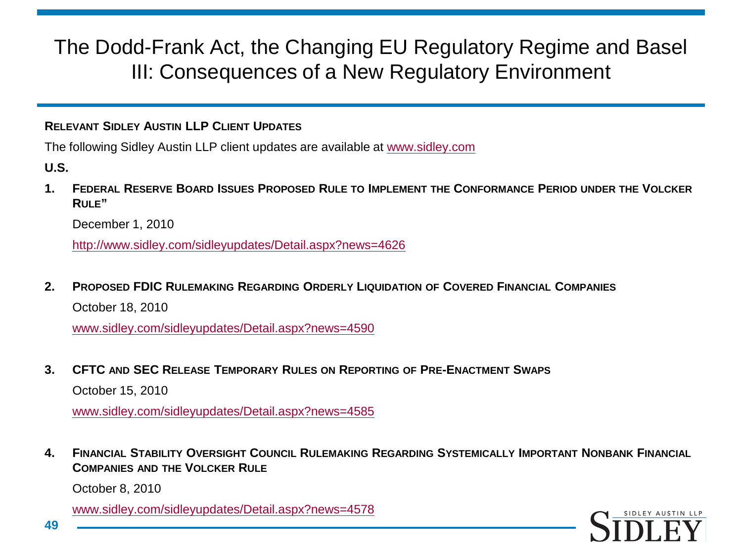#### **RELEVANT SIDLEY AUSTIN LLP CLIENT UPDATES**

The following Sidley Austin LLP client updates are available at [www.sidley.com](http://www.sidley.com/)

**U.S.** 

**1. FEDERAL RESERVE BOARD ISSUES PROPOSED RULE TO IMPLEMENT THE CONFORMANCE PERIOD UNDER THE VOLCKER RULE"**

December 1, 2010

<http://www.sidley.com/sidleyupdates/Detail.aspx?news=4626>

**2. PROPOSED FDIC RULEMAKING REGARDING ORDERLY LIQUIDATION OF COVERED FINANCIAL COMPANIES** October 18, 2010

www.sidley.com/sidleyupdates/Detail.aspx?news=4590

**3. CFTC AND SEC RELEASE TEMPORARY RULES ON REPORTING OF PRE-ENACTMENT SWAPS**

October 15, 2010

www.sidley.com/sidleyupdates/Detail.aspx?news=4585

**4. FINANCIAL STABILITY OVERSIGHT COUNCIL RULEMAKING REGARDING SYSTEMICALLY IMPORTANT NONBANK FINANCIAL COMPANIES AND THE VOLCKER RULE**

October 8, 2010

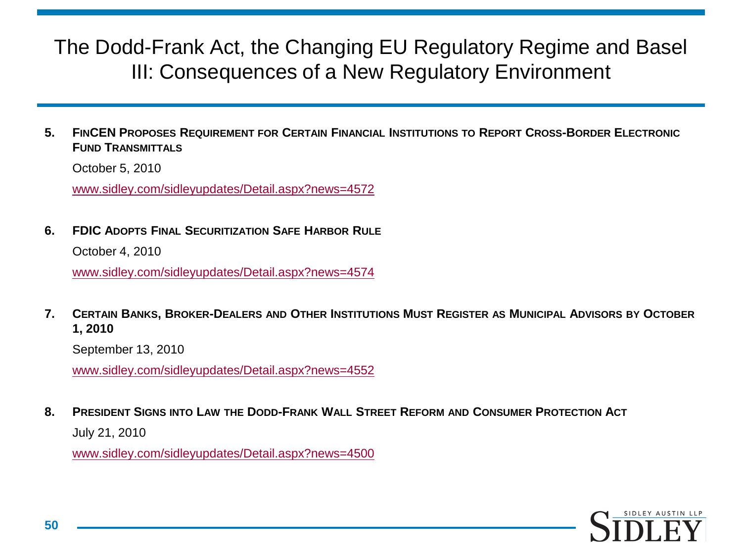**5. FINCEN PROPOSES REQUIREMENT FOR CERTAIN FINANCIAL INSTITUTIONS TO REPORT CROSS-BORDER ELECTRONIC FUND TRANSMITTALS**

October 5, 2010

www.sidley.com/sidleyupdates/Detail.aspx?news=4572

**6. FDIC ADOPTS FINAL SECURITIZATION SAFE HARBOR RULE**

October 4, 2010

www.sidley.com/sidleyupdates/Detail.aspx?news=4574

**7. CERTAIN BANKS, BROKER-DEALERS AND OTHER INSTITUTIONS MUST REGISTER AS MUNICIPAL ADVISORS BY OCTOBER 1, 2010** 

September 13, 2010

www.sidley.com/sidleyupdates/Detail.aspx?news=4552

**8. PRESIDENT SIGNS INTO LAW THE DODD-FRANK WALL STREET REFORM AND CONSUMER PROTECTION ACT**

July 21, 2010

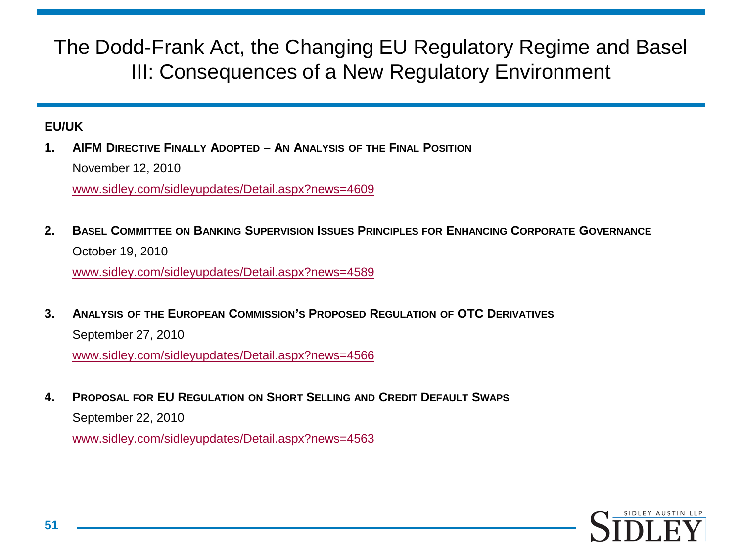#### **EU/UK**

**1. AIFM DIRECTIVE FINALLY ADOPTED – AN ANALYSIS OF THE FINAL POSITION** November 12, 2010

[www.sidley.com/sidleyupdates/Detail.aspx?news=4609](http://www.sidley.com/sidleyupdates/Detail.aspx?news=4609)

**2. BASEL COMMITTEE ON BANKING SUPERVISION ISSUES PRINCIPLES FOR ENHANCING CORPORATE GOVERNANCE** October 19, 2010

[www.sidley.com/sidleyupdates/Detail.aspx?news=4589](http://www.sidley.com/sidleyupdates/Detail.aspx?news=4589)

**3. ANALYSIS OF THE EUROPEAN COMMISSION'S PROPOSED REGULATION OF OTC DERIVATIVES** September 27, 2010

[www.sidley.com/sidleyupdates/Detail.aspx?news=4566](http://www.sidley.com/sidleyupdates/Detail.aspx?news=4566)

**4. PROPOSAL FOR EU REGULATION ON SHORT SELLING AND CREDIT DEFAULT SWAPS** September 22, 2010